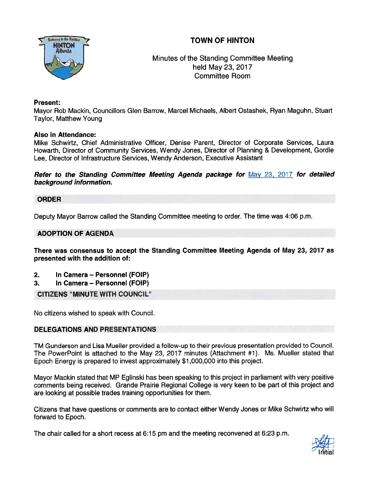

Minutes of the Standing Committee Meeting held May 23, 2017 Committee Room

#### Present:

Mayor Rob Mackin, Councillors Glen Barrow, Marcel Michaels, Albert Ostashek, Ryan Maguhn, Stuart Taylor, Matthew Young

### Also in Attendance:

Mike Schwirtz, Chief Administrative Officer, Denise Parent, Director of Corporate Services, Laura Howarth, Director of Community Services, Wendy Jones, Director of Planning & Development, Gordie Lee, Director of Infrastructure Services, Wendy Anderson, Executive Assistant

Refer to the Standing Committee Meeting Agenda package for May 23, 2017 for detailed background information.

### ORDER

Deputy Mayor Barrow called the Standing Committee meeting to order. The time was 4:06 p.m.

### ADOPTION OF AGENDA

There was consensus to accep<sup>t</sup> the Standing Committee Meeting Agenda of May 23, 2017 as presented with the addition of:

- 2. In Camera Personnel (FOIP)
- 3. In Camera Personnel (FOIP)

CITIZENS "MINUTE WITH COUNCIL"

No citizens wished to speak with Council.

# DELEGATIONS AND PRESENTATIONS

TM Gunderson and Lisa Mueller provided <sup>a</sup> follow-up to their previous presentation provided to Council. The PowerPoint is attached to the May 23, 2017 minutes (Attachment #1). Ms. Mueller stated that Epoch Energy is prepared to invest approximately \$1 ,000,000 into this project.

Mayor Mackin stated that MR Eglinski has been speaking to this project in parliament with very positive comments being received. Grande Prairie Regional College is very keen to be par<sup>t</sup> of this project and are looking at possible trades training opportunities for them.

Citizens that have questions or comments are to contact either Wendy Jones or Mike Schwirtz who will forward to Epoch.

The chair called for <sup>a</sup> short recess at 6:15 pm and the meeting reconvened at 6:23 p.m.

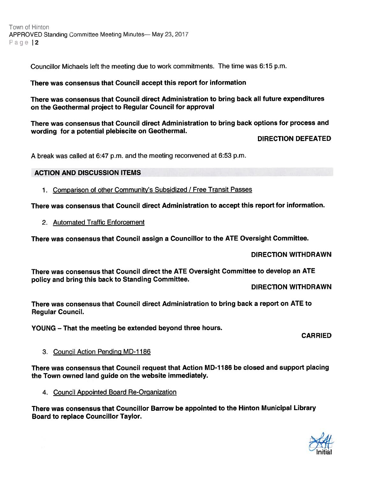Town of Hinton APPROVED Standing Committee Meeting Minutes— May 23, 2017 Page 12

Councillor Michaels left the meeting due to work commitments. The time was 6:15 p.m.

#### There was consensus that Council accep<sup>t</sup> this repor<sup>t</sup> for information

There was consensus that Council direct Administration to bring back all future expenditures on the Geothermal project to Regular Council for approval

There was consensus that Council direct Administration to bring back options for process and wording for <sup>a</sup> potential <sup>p</sup>lebiscite on Geothermal.

DIRECTION DEFEATED

A break was called at 6:47 p.m. and the meeting reconvened at 6:53 p.m.

### ACTION AND DISCUSSION ITEMS

1. Comparison of other Community's Subsidized / Free Transit Passes

There was consensus that Council direct Administration to accep<sup>t</sup> this repor<sup>t</sup> for information.

2. Automated Traffic Enforcement

There was consensus that Council assign <sup>a</sup> Councillor to the ATE Oversight Committee.

#### DIRECTION WITHDRAWN

There was consensus that Council direct the ATE Oversight Committee to develop an ATE policy and bring this back to Standing Committee.

DIRECTION WITHDRAWN

There was consensus that Council direct Administration to bring back <sup>a</sup> repor<sup>t</sup> on ATE to Regular Council.

YOUNG — That the meeting be extended beyond three hours.

CARRIED

# 3. Council Action Pending MD-1186

There was consensus that Council request that Action MD-1186 be closed and support placing the Town owned land guide on the website immediately.

4. Council Appointed Board Re-Organization

There was consensus that Councillor Barrow be appointed to the Hinton Municipal Library Board to replace Councillor Taylor.

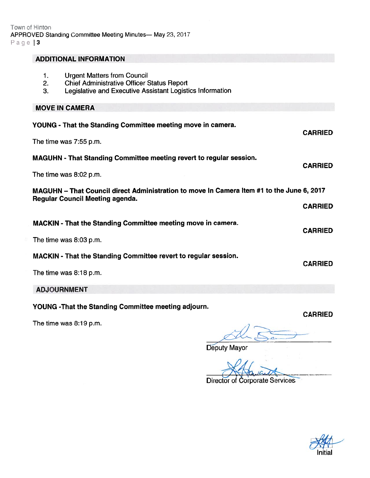| <b>ADDITIONAL INFORMATION</b>                                                                                                       |                                                                            |                |  |
|-------------------------------------------------------------------------------------------------------------------------------------|----------------------------------------------------------------------------|----------------|--|
| <b>Urgent Matters from Council</b><br>1.<br>2.<br><b>Chief Administrative Officer Status Report</b><br>3.                           | Legislative and Executive Assistant Logistics Information                  |                |  |
| <b>MOVE IN CAMERA</b>                                                                                                               |                                                                            |                |  |
| YOUNG - That the Standing Committee meeting move in camera.                                                                         |                                                                            | <b>CARRIED</b> |  |
| The time was 7:55 p.m.                                                                                                              |                                                                            |                |  |
|                                                                                                                                     | <b>MAGUHN - That Standing Committee meeting revert to regular session.</b> | <b>CARRIED</b> |  |
| The time was 8:02 p.m.                                                                                                              |                                                                            |                |  |
| MAGUHN - That Council direct Administration to move In Camera Item #1 to the June 6, 2017<br><b>Regular Council Meeting agenda.</b> |                                                                            |                |  |
|                                                                                                                                     |                                                                            | <b>CARRIED</b> |  |
| MACKIN - That the Standing Committee meeting move in camera.                                                                        |                                                                            | <b>CARRIED</b> |  |
| The time was 8:03 p.m.                                                                                                              |                                                                            |                |  |
| <b>MACKIN</b> - That the Standing Committee revert to regular session.                                                              |                                                                            | <b>CARRIED</b> |  |
| The time was 8:18 p.m.                                                                                                              |                                                                            |                |  |
|                                                                                                                                     |                                                                            |                |  |

ADJOURNMENT

YOUNG -That the Standing Committee meeting adjourn.

The time was 8:19 p.m.

Deputy Mayor

Director of Corporate Services

Initial

CARRIED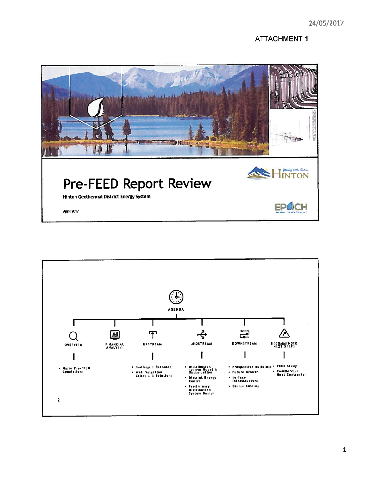# **ATTACHMENT 1**



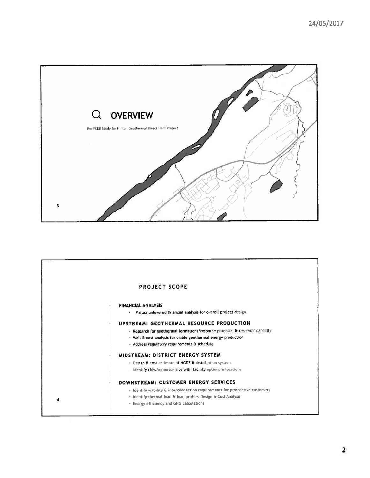

|   | PROJECT SCOPE                                                                                                                                                                                                                              |
|---|--------------------------------------------------------------------------------------------------------------------------------------------------------------------------------------------------------------------------------------------|
|   | <b>FINANCIAL ANALYSIS</b><br>. Pretax unlevered financial analysis for overall project design                                                                                                                                              |
|   | UPSTREAM: GEOTHERMAL RESOURCE PRODUCTION<br>· Research for geothermal formations/resource potential & reservoir capacity<br>- Well & cost analysis for viable geothermal energy production<br>· Address regulatory requirements & schedule |
|   | MIDSTREAM: DISTRICT ENERGY SYSTEM<br>- Design & cost estimate of HGDE & distribution system<br>- Ildentify risks/apportunities with facility options & locations                                                                           |
| 4 | DOWNSTREAM: CUSTOMER ENERGY SERVICES<br>- Identify viability & interconnection requirements for prospective customers<br>· Identify thermal load & load profile: Design & Cost Analysis<br>. Energy efficiency and GHG calculations        |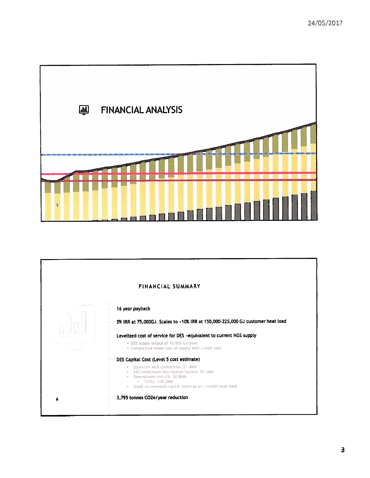

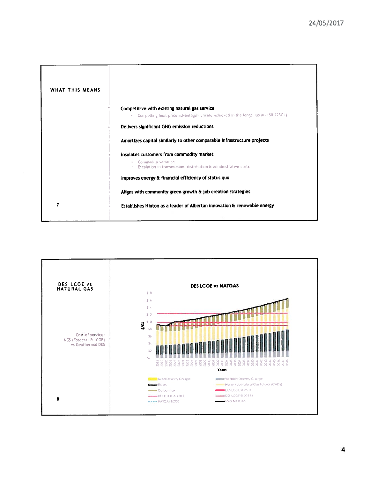| WHAT THIS MEANS |                                                                                                                                                |
|-----------------|------------------------------------------------------------------------------------------------------------------------------------------------|
|                 | Competitive with existing natural gas service<br>Compelling heat price advantage at wale achieved in the longer term (150-225GJ)<br>$\alpha$ . |
|                 | Delivers significant GHG emission reductions                                                                                                   |
|                 | Amortizes capital similarly to other comparable infrastructure projects                                                                        |
|                 | Insulates customers from commodity market                                                                                                      |
|                 | Commodity variance<br>Escalation in transmission, distribution & administrative costs                                                          |
|                 | Improves energy & financial efficiency of status quo                                                                                           |
|                 | Aligns with community green growth & job creation strategies                                                                                   |
| 7               | Establishes Hinton as a leader of Albertan innovation & renewable energy                                                                       |

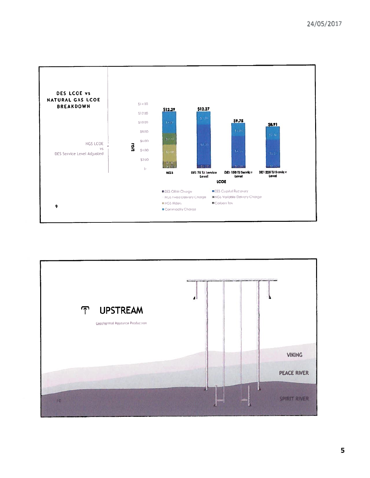

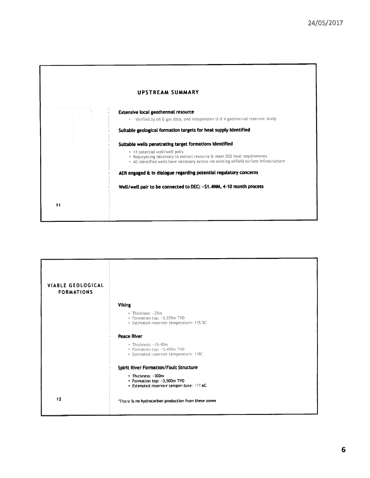|    | UPSTREAM SUMMARY                                                                                                                                                                                                                                                   |
|----|--------------------------------------------------------------------------------------------------------------------------------------------------------------------------------------------------------------------------------------------------------------------|
|    | Extensive local geothermal resource<br>Verified by oil & gas data, and independent U of A geothermal reservoir study<br>$\Phi$<br>Suitable geological formation targets for heat supply identified                                                                 |
|    | Suitable wells penetrating target formations identified<br>. 14 potential well/well pairs<br>. Repurposing necessary to extract resource & meet DES heat requirements<br>. All identified wells have necessary access via existing oilfield surface infrastructure |
|    | AER engaged & in dialogue regarding potential regulatory concerns                                                                                                                                                                                                  |
| 11 | Well/well pair to be connected to DEC: -\$1.4MM, 4-10 month process                                                                                                                                                                                                |

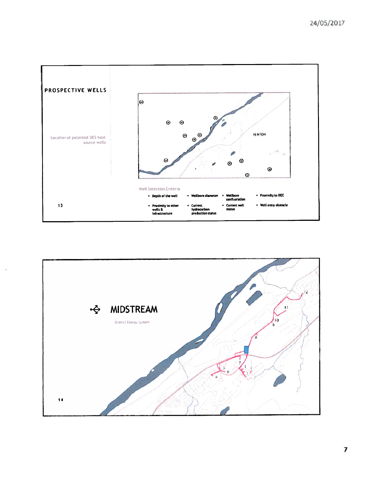

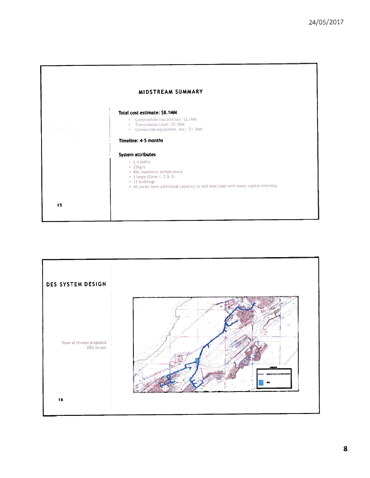

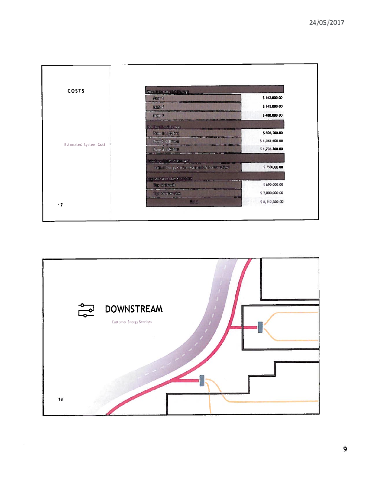

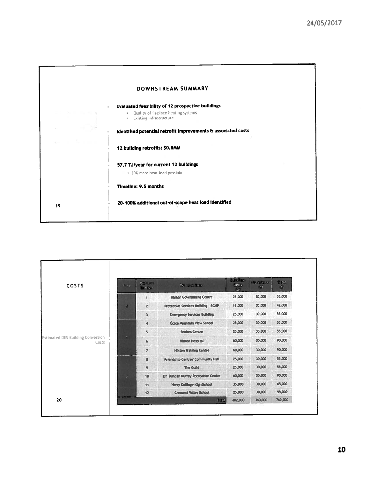|    | DOWNSTREAM SUMMARY                                                                                               |
|----|------------------------------------------------------------------------------------------------------------------|
|    | <b>Evaluated feasibility of 12 prospective buildings</b><br>Quality of in-place heating systems<br>$\mathbbm{u}$ |
|    | <b>Existing infrastructure</b><br>$\mathbf{0}$<br>identified potential retrofit improvements & associated costs  |
|    | 12 building retrofits: \$0.8MM                                                                                   |
|    | 57.7 TJ/year for current 12 buildings                                                                            |
|    | . 20% more heat load possible<br>Timeline: 9.5 months                                                            |
| 19 | 20-100% additional out-of-scope heat load identified                                                             |
|    |                                                                                                                  |

| COSTS                                      | Zone                          | Building<br>Number      | <b>Building Name</b>                     | <b>Interface</b><br><b>Umits</b><br>(5) | Installation<br>(\$) | Teta.<br>$\left( \frac{R}{\sqrt{2}} \right)$ |
|--------------------------------------------|-------------------------------|-------------------------|------------------------------------------|-----------------------------------------|----------------------|----------------------------------------------|
| Estimated DES Building Conversion<br>Costs |                               | 1                       | <b>Hinton Government Centre</b>          | 25,000                                  | 30,000               | 55,000                                       |
|                                            | п                             | $\overline{z}$          | Protective Services Building - RCMP      | 12,000                                  | 30,000               | 42,000                                       |
|                                            |                               | 3                       | <b>Emergency Services Building</b>       | 25,000                                  | 30,000               | 55,000                                       |
|                                            | $\overline{\mathbf{r}}$       | $\blacktriangleleft$    | <b>École Mountain View School</b>        | 25,000                                  | 30,000               | 55,000                                       |
|                                            |                               | $\overline{\mathbf{5}}$ | <b>Seniors Centre</b>                    | 25,000                                  | 30,000               | 55,000                                       |
|                                            |                               | $\ddot{\bullet}$        | <b>Hinton Hospital</b>                   | 60,000                                  | 30,000               | 90,000                                       |
|                                            |                               | $\overline{r}$          | <b>Hinton Training Centre</b>            | 60,000                                  | 30,000               | 90,000                                       |
|                                            | <b>SEATTLE CARD FOR STATE</b> | 8                       | <b>Friendship Centre/ Community Hall</b> | 25,000                                  | 30,000               | 55,000                                       |
|                                            |                               | $\ddot{\phantom{1}}$    | The Guild                                | 25,000                                  | 30,000               | 55,000                                       |
|                                            | $\mathbf{J}$                  | 10                      | Dr. Duncan Murray Recreation Centre      | 60,000                                  | 30,000               | 90,000                                       |
|                                            |                               | 11                      | <b>Harry Collinge Migh School</b>        | 35,000                                  | 30,000               | 65,000                                       |
|                                            |                               | 12                      | <b>Crescent Valley School</b>            | 25,000                                  | 30,000               | 55,000                                       |
| 20                                         |                               |                         | Total                                    | 402,000                                 | 360,000              | 762,000                                      |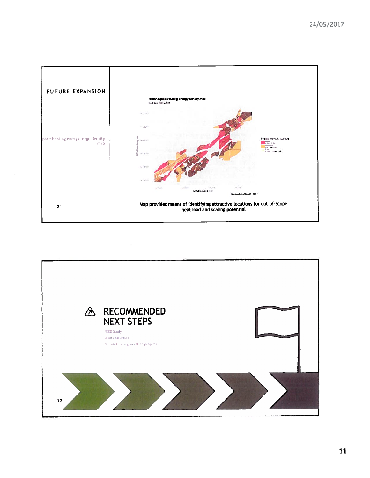